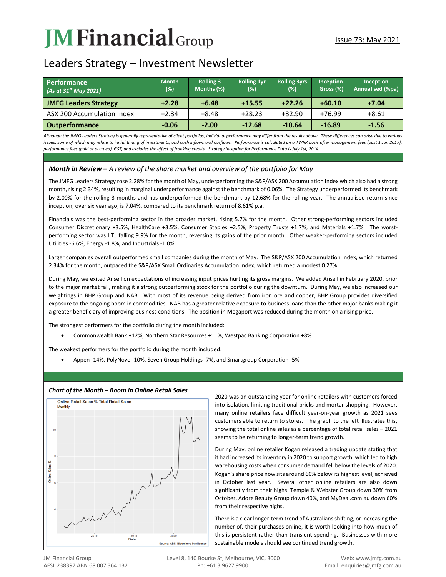# **JM Financial** Group

# Leaders Strategy – Investment Newsletter

| Performance<br>(As at $31^{st}$ May 2021) | <b>Month</b><br>(%) | <b>Rolling 3</b><br>Months (%) | <b>Rolling 1yr</b><br>$(\%)$ | <b>Rolling 3yrs</b><br>(%) | <b>Inception</b><br>Gross (%) | <b>Inception</b><br>Annualised (%pa) |
|-------------------------------------------|---------------------|--------------------------------|------------------------------|----------------------------|-------------------------------|--------------------------------------|
| <b>JMFG Leaders Strategy</b>              | $+2.28$             | $+6.48$                        | $+15.55$                     | $+22.26$                   | $+60.10$                      | $+7.04$                              |
| ASX 200 Accumulation Index                | $+2.34$             | $+8.48$                        | $+28.23$                     | $+32.90$                   | $+76.99$                      | $+8.61$                              |
| <b>Outperformance</b>                     | $-0.06$             | $-2.00$                        | $-12.68$                     | $-10.64$                   | $-16.89$                      | $-1.56$                              |

*Although the JMFG Leaders Strategy is generally representative of client portfolios, Individual performance may differ from the results above. These differences can arise due to various*  issues, some of which may relate to initial timing of investments, and cash inflows and outflows. Performance is calculated on a TWRR basis after management fees (post 1 Jan 2017), *performance fees (paid or accrued), GST, and excludes the effect of franking credits. Strategy Inception for Performance Data is July 1st, 2014.*

# *Month in Review – A review of the share market and overview of the portfolio for May*

The JMFG Leaders Strategy rose 2.28% for the month of May, underperforming the S&P/ASX 200 Accumulation Index which also had a strong month, rising 2.34%, resulting in marginal underperformance against the benchmark of 0.06%. The Strategy underperformed its benchmark by 2.00% for the rolling 3 months and has underperformed the benchmark by 12.68% for the rolling year. The annualised return since inception, over six year ago, is 7.04%, compared to its benchmark return of 8.61% p.a.

Financials was the best-performing sector in the broader market, rising 5.7% for the month. Other strong-performing sectors included Consumer Discretionary +3.5%, HealthCare +3.5%, Consumer Staples +2.5%, Property Trusts +1.7%, and Materials +1.7%. The worstperforming sector was I.T., falling 9.9% for the month, reversing its gains of the prior month. Other weaker-performing sectors included Utilities -6.6%, Energy -1.8%, and Industrials -1.0%.

Larger companies overall outperformed small companies during the month of May. The S&P/ASX 200 Accumulation Index, which returned 2.34% for the month, outpaced the S&P/ASX Small Ordinaries Accumulation Index, which returned a modest 0.27%.

During May, we exited Ansell on expectations of increasing input prices hurting its gross margins. We added Ansell in February 2020, prior to the major market fall, making it a strong outperforming stock for the portfolio during the downturn. During May, we also increased our weightings in BHP Group and NAB. With most of its revenue being derived from iron ore and copper, BHP Group provides diversified exposure to the ongoing boom in commodities. NAB has a greater relative exposure to business loans than the other major banks making it a greater beneficiary of improving business conditions. The position in Megaport was reduced during the month on a rising price.

The strongest performers for the portfolio during the month included:

• Commonwealth Bank +12%, Northern Star Resources +11%, Westpac Banking Corporation +8%

The weakest performers for the portfolio during the month included:

• Appen -14%, PolyNovo -10%, Seven Group Holdings -7%, and Smartgroup Corporation -5%



## *Chart of the Month – Boom in Online Retail Sales*

2020 was an outstanding year for online retailers with customers forced into isolation, limiting traditional bricks and mortar shopping. However, many online retailers face difficult year-on-year growth as 2021 sees customers able to return to stores. The graph to the left illustrates this, showing the total online sales as a percentage of total retail sales – 2021 seems to be returning to longer-term trend growth.

During May, online retailer Kogan released a trading update stating that it had increased its inventory in 2020 to support growth, which led to high warehousing costs when consumer demand fell below the levels of 2020. Kogan's share price now sits around 60% below its highest level, achieved in October last year. Several other online retailers are also down significantly from their highs: Temple & Webster Group down 30% from October, Adore Beauty Group down 40%, and MyDeal.com.au down 60% from their respective highs.

There is a clear longer-term trend of Australians shifting, or increasing the number of, their purchases online, it is worth looking into how much of this is persistent rather than transient spending. Businesses with more sustainable models should see continued trend growth.